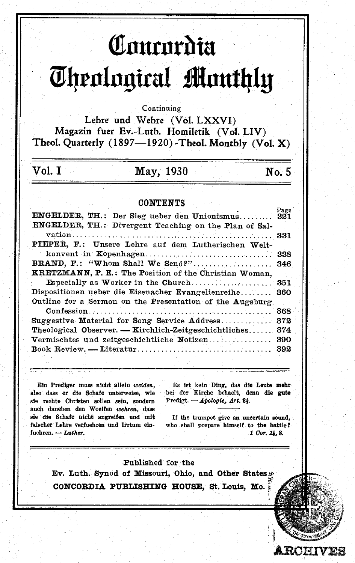# Comenta *<u>Ohenlagical Manthly</u>*

#### Continuing

Lehre und Wehre (Vol. LXXVI) Magazin fuer Ev.-Luth. Homiletik (Vol. LIV) Theol. Quarterly (1897-1920)-Theol. Monthly (Vol. X)

# May, 1930

 $No. 5$ 

### **CONTENTS**

| ENGELDER, TH.: Der Sieg ueber den Unionismus 321         | rage |
|----------------------------------------------------------|------|
| ENGELDER, TH.: Divergent Teaching on the Plan of Sal-    |      |
|                                                          |      |
| PIEPER, F.: Unsere Lehre auf dem Lutherischen Welt-      |      |
|                                                          | 338  |
| BRAND, F.: "Whom Shall We Send?" 346                     |      |
| KRETZMANN, P. E.: The Position of the Christian Woman,   |      |
|                                                          |      |
| Dispositionen ueber die Eisenacher Evangelienreihe 360   |      |
| Outline for a Sermon on the Presentation of the Augsburg |      |
|                                                          |      |
| Suggestive Material for Song Service Address             | 372  |
| Theological Observer. — Kirchlich-Zeitgeschichtliches    | 374  |
| Vermischtes und zeitgeschichtliche Notizen               | 390  |
|                                                          | 392  |
|                                                          |      |

Ein Prediger muss nicht allein weiden. also dass er die Schafe unterweise, wie sie rechte Christen sollen sein, sondern auch daneben den Woelfen wehren, dass sie die Schafe nicht angreifen und mit falscher Lehre verfuehren und Irrtum einfuehren. - Luther.

Vol. T

Es ist kein Ding, das die Leute mehr bei der Kirche behaelt, denn die gute Predigt. - Apologie, Art. 24.

If the trumpet give an uncertain sound, who shall prepare himself to the battle? 1 Cor. 14.8.

**RCHIVES** 

Published for the Ev. Luth. Synod of Missouri, Ohio, and Other States CONCORDIA PUBLISHING HOUSE, St. Louis, Mo.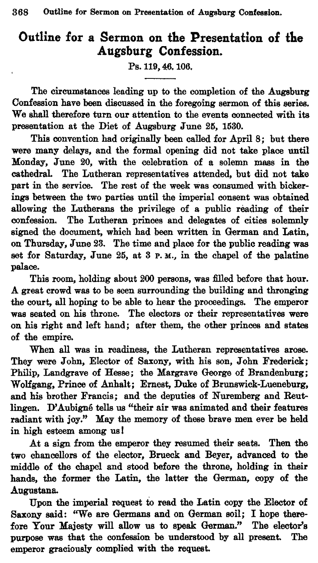# **Outline for a Sermon on the Presentation of the Augsburg Confession.**

Ps. 119,46. 106.

The circumstances leading up to the completion of the Augaburg Confession have been discussed in the foregoing sermon of this series. We shall therefore turn our attention to the events connected with its presentation at the Diet of Augsburg June 25, 1530.

This convention had originally been called for April 8; but there were many delays, and the formal opening did not take place until Monday, Jnne 20, with the celebration of a solemn mass in the cathedral. The Lutheran representatives attended, but did not take part in the service. The rest of the week was consumed with bickerings between the two parties until the imperial consent was obtained allowing the Lutherans the privilege of a public reading of their confession. The Lutheran princes and delegates of cities solemnly signed the document. which had been written in German and Latin, on Thursday. June 23. The time and place for the public reading was set for Saturday, June 25. at 8 p. M., in the chapel of the palatine palace.

This room, holding about 200 persons, was filled before that hour. A great crowd was to be seen surrounding the building and thronging the court. all hoping to be able to hear the proceedings. The emperor was seated on his throne. The electors or their representatives were on his right and left hand; after them, the other princes and states of the empire.

When all was in readiness. the Lutheran representatives arose. They were John. Elector of Saxony, with his son, John Frederick; Philip, Landgrave of Hesse; the Margrave George of Brandenburg; Wolfgang, Prince of Anhalt; Ernest. Duke of Brunswick-Lueneburg, and his brother Francis; and the deputies of Nuremberg and Reutlingen. D'Aubigné tells us "their air was animated and their features radiant with joy." May the memory of these brave men ever be held in high esteem among us I

At a sign from the emperor they resumed their seats. Then the two chancellors of the elector. Brueck and Beyer. advanced to the middle of the chapel and stood before the throne, holding in their hands, the former the Latin, the latter the German, copy of the Augustan&.

Upon the imperial request to read the Latin copy the Elector of Saxony said: "We are Germans and on German soil; I hope therefore Your Majesty will allow us to speak German." The elector's purpose was that the confession be understood by all present. The emperor graciously complied with the request.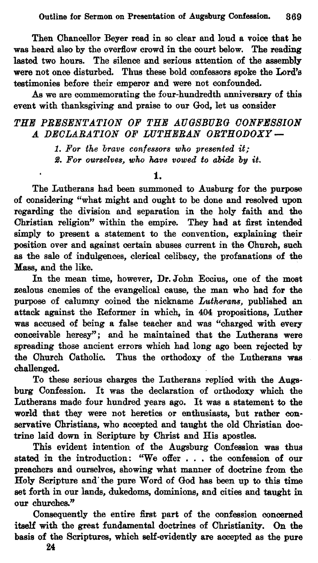Then Chancellor Beyer read in so clear and loud a voice that he was heard also by the overflow crowd in the court below. The reading lasted two hours. The silence and serious attention of the assembly were not once disturbed. Thus these bold confessors spoke the Lord's testimonies before their emperor and were not confounded.

As we are commemorating the four-hundredth anniversary of this event with thanksgiving and praise to our God, let us consider

## *THE PRESENTATION OF THE AUGSBURG OONFESSION A DEOLARATION OF WTHERAN ORTHODOXY-*

1. *For the brave confessors who presented it;*  S. *For oU1's61v68, who have vowed to abide by it.* 

## 1.

The Lutherans had been summoned to Ausburg for the purpose of considering "what might and ought to be done and resolved upon regarding the division and separation in the holy faith and the Christian religion" within the empire. They had at first intended simply to present a statement to the convention, explaining their position over and against certain abuses current in the Church, such as the sale of indulgences, clerical celibacy, the profanations of the Mass, and the like.

In the mean time, however, Dr. John Eccius, one of the most zealous enemies of the evangelical cause, the man who had for the purpose of calumny coined the nickname *Lutherans*, published an attack against the Reformer in which, in 404 propositions, Luther was accused of being a false teacher and was "charged with every conceivable heresy"; and he maintained that the Lutherans were spreading those ancient errors which had long ago been rejected by the Church Catholic. Thus the orthodoxy of the Lutherans was challenged.

To these serious charges the Lutherans replied with the Augsburg Confession. It was the declaration of orthodoxy which the Lutherans made four hundred yesrs ago. It was a statement to the world that they were not heretics or enthusiasts, but rather conservative Christians, who accepted and taught the old Christian doctrine laid down in Scripture by Christ and His apostles.

This evident intention of the Augsburg Confession was thus stated in the introduction: "We offer . . . the confession of our preachers and ourselves, showing what manner of doctrine from the Holy Scripture and'the pure Word of God has been up to this time set forth in our lands, dukedoms, dominions, and cities and taught in our churches."

Consequently the entire first part of the confession concerned itself with the great fundamental doctrines of Christianity. On the basis of the Scriptures, which self-evidently are accepted as the pure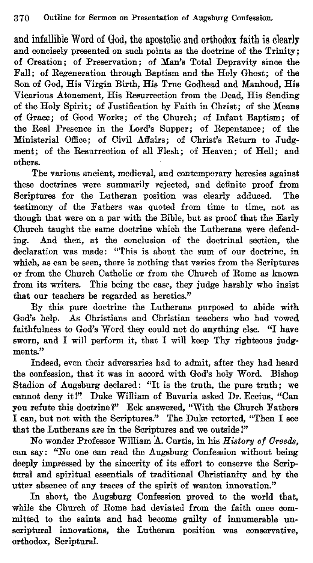and infallible Word of God, the apostolic and orthodox faith is clearly and concisely presented on such points as the doctrine of the Trinity; of Creation; of Preservation; of Man's Total Depravity since the Fall; of Regeneration through Baptism and the Holy Ghost; of the Son of God, His Virgin Birth, His True Godhead and Manhood, His Vicarious Atonement, His Resurrection from the Dead, His Sending of the Holy Spirit; of Justification by Faith in Christ; of the Means of Grace; of Good Works; of the Church; of Infant Baptism; of the Real Presence in the Lord's Supper; of Repentance; of the Ministerial Office; of Civil Affairs; of Christ's Return to Judgment; of the Resurrection of all Flesh; of Heaven; of Hell; and others.

The various ancient, medieval, and contemporary heresies against these doctrines were summarily rejected, and definite proof from Scriptures for the Lutheran position was clearly adduced. The testimony of the Fathers was quoted from time to time, not as though that were on a par with the Bible, but as proof that the Early Church taught the same doctrine which the Lutherans were defending. And then, at the conclusion of the doctrinal section, the declaration was made: "This is about the sum of our doctrine, in which, as can be seen, there is nothing that varies from the Scriptures or from the Church Catholic or from the Church of Rome as known from its writers. This being the case, they judge harshly who insist that our teachers be regarded as heretics."

By this pure doctrine the Lutherans purposed to abide with God's help. As Christians and Christian teachers who had vowed faithfulness to God's Word they could not do anything else. "I have sworn, and I will perform it, that I will keep Thy righteous judgments."

Indeed, even their adversaries had to admit, after they had heard the confession, that it was in accord with God's holy Word. Bishop Stadion of Augsburg declared: "It is the truth, the pure truth; we cannot deny it!" Duke William of Bavaria asked Dr. Eccius. "Can you refute this doctrine?" Eck answered, "With the Church Fathers I can, but not with the Scriptures." The Duke retorted, "Then I see that the Lutherans are in the Scriptures and we outside!"

No wonder Professor William A. Curtis, in his *History of Oreeds,*  can say : "No one can read the Augsburg Confession without being deeply impressed by the sincerity of its effort to conserve the Scriptural and spiritual essentials of traditional Christianity and by the utter absence of any traces of the spirit of wanton innovation."

In short, the Augsburg Confession proved to the world that, while the Church of Rome had deviated from the faith once committed to the saints and had become guilty of innumerable unscriptural innovations, the Lutheran position was conservative, orthodox, Scriptural.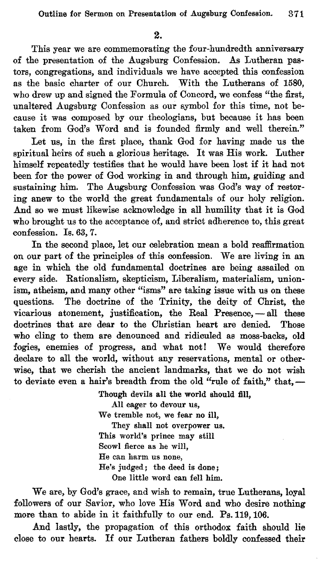This year we are commemorating the four-hundredth anniversary of the presentation of the Augsburg Confession. As Lutheran pastors, congregations, and individuals we have accepted this confession as the basic charter of our Church. With the Lutherans of 1580, who drew up and signed the Formula of Concord, we confess "the first, unaltered Augsburg Confession as our symbol for this time, not because it was composed by our theologians, but because it has been taken from God's Word and is founded firmly and well therein."

Let us, in the first place, thank God for having made us the spiritual heirs of such a glorious heritage. It was His work. Luther himself repeatedly testifies that he would have been lost if it had not been for the power of God working in and through him, guiding and sustaining him. The Augsburg Confession was God's way of restoring anew to the world the great fundamentals of our holy religion. And so we must likewise acknowledge in all humility that it is God who brought us to the acceptance of, and strict adherence to, this great confession. Is. 63.7.

In the second place, let our celebration mean a bold reaffirmation on our part of the principles of this confession. We are living in an age in which the old fundamental doctrines are being assailed on every side. Rationalism, skepticism, Liberalism, materialism, unionism, atheism, and many other "isms" are taking issue with us on these questions. The doctrine of the Trinity, the deity of Christ, the The doctrine of the Trinity, the deity of Christ, the vicarious atonement, justification, the Real Presence, - all these doctrines that are dear to the Christian heart are denied. Those who cling to them are denounced and ridiculed as moss-backs, old fogies, enemies of progress, and what not! We would therefore declare to all the world, without any reservations, mental or otherwise, that we cherish the ancient landmarks, that we do not wish to deviate even a hair's breadth from the old "rule of faith," that,-

> Though devils all the world should fill. All eager to devour us, We tremble not, we fear no ill, They shall not overpower us. This world's prince may still Scowl fierce as he will, He can harm us none, He's judged; the deed is done; One little word can fell him.

We are, by God's grace, and wish to remain, true Lutherans, loyal followers of our Savior, who love His Word and who desire nothing more than to abide in it faithfully to our end. Ps. 119, 106.

And lastly, the propagation of this orthodox faith should lie close to our hearts. If our Lutheran fathers boldly confessed their